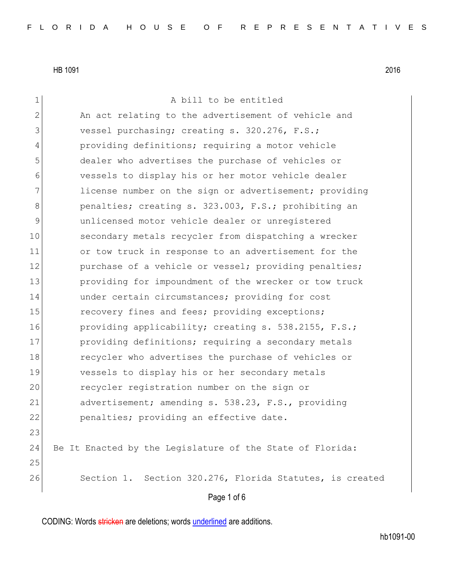| $\mathbf 1$   | A bill to be entitled                                     |
|---------------|-----------------------------------------------------------|
| $\mathbf{2}$  | An act relating to the advertisement of vehicle and       |
| 3             | vessel purchasing; creating s. 320.276, F.S.;             |
| 4             | providing definitions; requiring a motor vehicle          |
| 5             | dealer who advertises the purchase of vehicles or         |
| 6             | vessels to display his or her motor vehicle dealer        |
| 7             | license number on the sign or advertisement; providing    |
| 8             | penalties; creating s. 323.003, F.S.; prohibiting an      |
| $\mathcal{G}$ | unlicensed motor vehicle dealer or unregistered           |
| 10            | secondary metals recycler from dispatching a wrecker      |
| 11            | or tow truck in response to an advertisement for the      |
| 12            | purchase of a vehicle or vessel; providing penalties;     |
| 13            | providing for impoundment of the wrecker or tow truck     |
| 14            | under certain circumstances; providing for cost           |
| 15            | recovery fines and fees; providing exceptions;            |
| 16            | providing applicability; creating s. 538.2155, F.S.;      |
| 17            | providing definitions; requiring a secondary metals       |
| 18            | recycler who advertises the purchase of vehicles or       |
| 19            | vessels to display his or her secondary metals            |
| 20            | recycler registration number on the sign or               |
| 21            | advertisement; amending s. 538.23, F.S., providing        |
| 22            | penalties; providing an effective date.                   |
| 23            |                                                           |
| 24            | Be It Enacted by the Legislature of the State of Florida: |
| 25            |                                                           |
| 26            | Section 1. Section 320.276, Florida Statutes, is created  |
|               | Page 1 of 6                                               |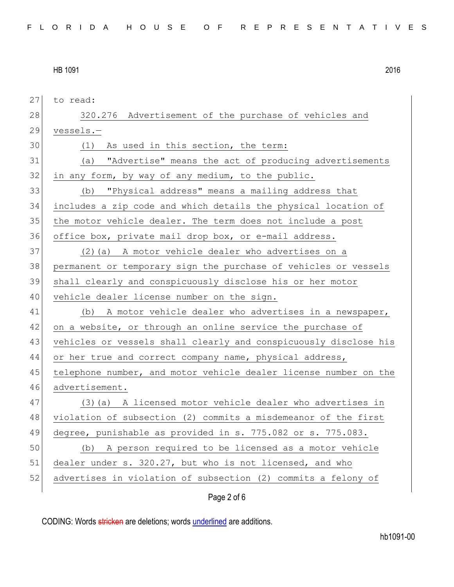Page 2 of 6 27 to read: 28 320.276 Advertisement of the purchase of vehicles and 29 vessels.— 30 (1) As used in this section, the term: 31 (a) "Advertise" means the act of producing advertisements  $32$  in any form, by way of any medium, to the public. 33 (b) "Physical address" means a mailing address that 34 includes a zip code and which details the physical location of 35 the motor vehicle dealer. The term does not include a post 36 office box, private mail drop box, or e-mail address. 37 (2)(a) A motor vehicle dealer who advertises on a 38 permanent or temporary sign the purchase of vehicles or vessels 39 shall clearly and conspicuously disclose his or her motor 40 vehicle dealer license number on the sign. 41 (b) A motor vehicle dealer who advertises in a newspaper, 42 on a website, or through an online service the purchase of 43 vehicles or vessels shall clearly and conspicuously disclose his 44 or her true and correct company name, physical address, 45 telephone number, and motor vehicle dealer license number on the 46 advertisement. 47 (3)(a) A licensed motor vehicle dealer who advertises in 48 violation of subsection (2) commits a misdemeanor of the first 49 degree, punishable as provided in s. 775.082 or s. 775.083. 50 (b) A person required to be licensed as a motor vehicle 51 dealer under s. 320.27, but who is not licensed, and who 52 advertises in violation of subsection (2) commits a felony of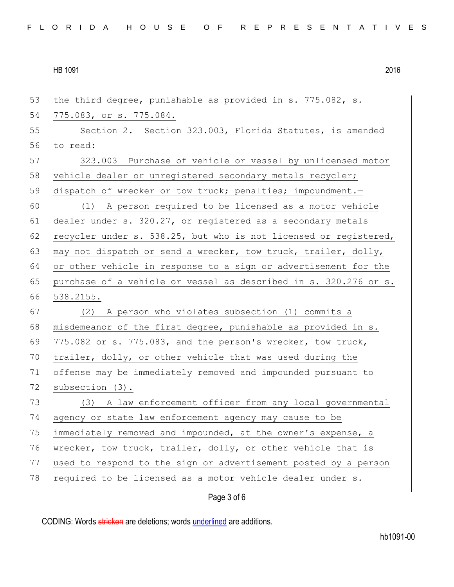| 53 | the third degree, punishable as provided in s. 775.082, s.       |
|----|------------------------------------------------------------------|
| 54 | 775.083, or s. 775.084.                                          |
| 55 | Section 2. Section 323.003, Florida Statutes, is amended         |
| 56 | to read:                                                         |
| 57 | 323.003 Purchase of vehicle or vessel by unlicensed motor        |
| 58 | vehicle dealer or unregistered secondary metals recycler;        |
| 59 | dispatch of wrecker or tow truck; penalties; impoundment.-       |
| 60 | (1) A person required to be licensed as a motor vehicle          |
| 61 | dealer under s. 320.27, or registered as a secondary metals      |
| 62 | recycler under s. 538.25, but who is not licensed or registered, |
| 63 | may not dispatch or send a wrecker, tow truck, trailer, dolly,   |
| 64 | or other vehicle in response to a sign or advertisement for the  |
| 65 | purchase of a vehicle or vessel as described in s. 320.276 or s. |
| 66 | 538.2155.                                                        |
| 67 | (2) A person who violates subsection (1) commits a               |
| 68 | misdemeanor of the first degree, punishable as provided in s.    |
| 69 | 775.082 or s. 775.083, and the person's wrecker, tow truck,      |
| 70 | trailer, dolly, or other vehicle that was used during the        |
| 71 | offense may be immediately removed and impounded pursuant to     |
| 72 | subsection (3).                                                  |
| 73 | (3) A law enforcement officer from any local governmental        |
| 74 | agency or state law enforcement agency may cause to be           |
| 75 | immediately removed and impounded, at the owner's expense, a     |
| 76 | wrecker, tow truck, trailer, dolly, or other vehicle that is     |
| 77 | used to respond to the sign or advertisement posted by a person  |
| 78 | required to be licensed as a motor vehicle dealer under s.       |
|    | Page 3 of 6                                                      |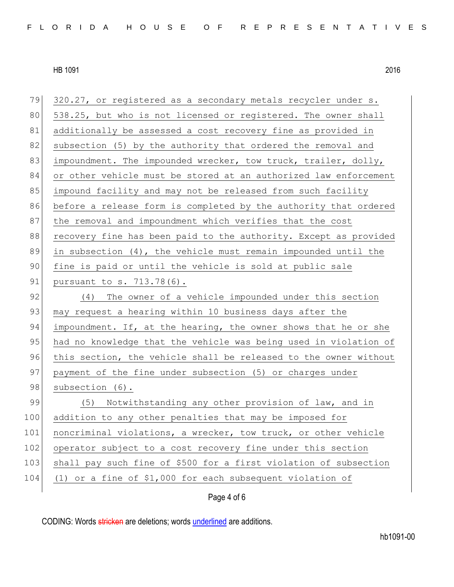Page 4 of 6 79 320.27, or registered as a secondary metals recycler under s. 80 538.25, but who is not licensed or registered. The owner shall 81 additionally be assessed a cost recovery fine as provided in 82 subsection (5) by the authority that ordered the removal and 83 impoundment. The impounded wrecker, tow truck, trailer, dolly, 84 or other vehicle must be stored at an authorized law enforcement 85 impound facility and may not be released from such facility 86 before a release form is completed by the authority that ordered 87 | the removal and impoundment which verifies that the cost 88 recovery fine has been paid to the authority. Except as provided 89 in subsection  $(4)$ , the vehicle must remain impounded until the 90 fine is paid or until the vehicle is sold at public sale 91 pursuant to s. 713.78(6). 92 (4) The owner of a vehicle impounded under this section 93 may request a hearing within 10 business days after the 94 impoundment. If, at the hearing, the owner shows that he or she 95 had no knowledge that the vehicle was being used in violation of 96 this section, the vehicle shall be released to the owner without 97 payment of the fine under subsection (5) or charges under 98 subsection (6). 99 (5) Notwithstanding any other provision of law, and in 100 addition to any other penalties that may be imposed for 101 noncriminal violations, a wrecker, tow truck, or other vehicle 102 operator subject to a cost recovery fine under this section 103 shall pay such fine of \$500 for a first violation of subsection 104 (1) or a fine of \$1,000 for each subsequent violation of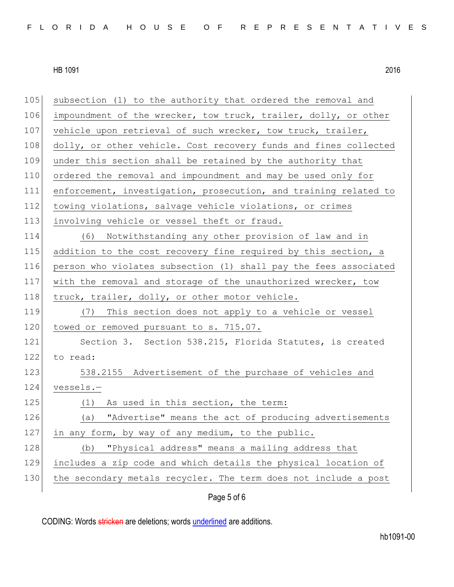| 105 | subsection (1) to the authority that ordered the removal and     |
|-----|------------------------------------------------------------------|
| 106 | impoundment of the wrecker, tow truck, trailer, dolly, or other  |
| 107 | vehicle upon retrieval of such wrecker, tow truck, trailer,      |
| 108 | dolly, or other vehicle. Cost recovery funds and fines collected |
| 109 | under this section shall be retained by the authority that       |
| 110 | ordered the removal and impoundment and may be used only for     |
| 111 | enforcement, investigation, prosecution, and training related to |
| 112 | towing violations, salvage vehicle violations, or crimes         |
| 113 | involving vehicle or vessel theft or fraud.                      |
| 114 | (6) Notwithstanding any other provision of law and in            |
| 115 | addition to the cost recovery fine required by this section, a   |
| 116 | person who violates subsection (1) shall pay the fees associated |
| 117 | with the removal and storage of the unauthorized wrecker, tow    |
| 118 | truck, trailer, dolly, or other motor vehicle.                   |
| 119 | (7) This section does not apply to a vehicle or vessel           |
| 120 | towed or removed pursuant to s. 715.07.                          |
| 121 | Section 3. Section 538.215, Florida Statutes, is created         |
| 122 | to read:                                                         |
| 123 | 538.2155 Advertisement of the purchase of vehicles and           |
| 124 | vessels.-                                                        |
| 125 | As used in this section, the term:<br>(1)                        |
| 126 | (a) "Advertise" means the act of producing advertisements        |
| 127 | in any form, by way of any medium, to the public.                |
| 128 | "Physical address" means a mailing address that<br>(b)           |
| 129 | includes a zip code and which details the physical location of   |
| 130 | the secondary metals recycler. The term does not include a post  |
|     | Page 5 of 6                                                      |